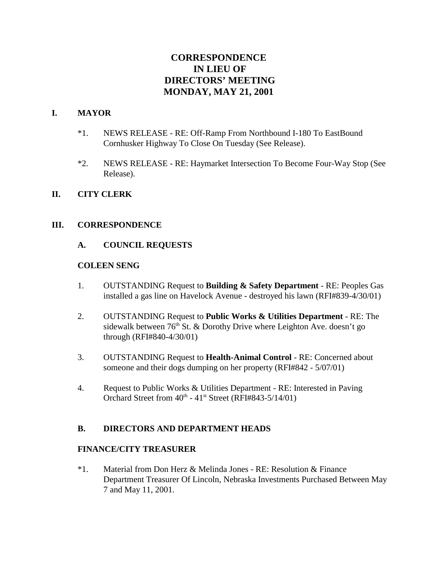# **CORRESPONDENCE IN LIEU OF DIRECTORS' MEETING MONDAY, MAY 21, 2001**

# **I. MAYOR**

- \*1. NEWS RELEASE RE: Off-Ramp From Northbound I-180 To EastBound Cornhusker Highway To Close On Tuesday (See Release).
- \*2. NEWS RELEASE RE: Haymarket Intersection To Become Four-Way Stop (See Release).

### **II. CITY CLERK**

### **III. CORRESPONDENCE**

## **A. COUNCIL REQUESTS**

### **COLEEN SENG**

- 1. OUTSTANDING Request to **Building & Safety Department** RE: Peoples Gas installed a gas line on Havelock Avenue - destroyed his lawn (RFI#839-4/30/01)
- 2. OUTSTANDING Request to **Public Works & Utilities Department** RE: The sidewalk between  $76<sup>th</sup>$  St. & Dorothy Drive where Leighton Ave. doesn't go through (RFI#840-4/30/01)
- 3. OUTSTANDING Request to **Health-Animal Control** RE: Concerned about someone and their dogs dumping on her property (RFI#842 - 5/07/01)
- 4. Request to Public Works & Utilities Department RE: Interested in Paving Orchard Street from  $40^{th}$  -  $41^{st}$  Street (RFI#843-5/14/01)

### **B. DIRECTORS AND DEPARTMENT HEADS**

### **FINANCE/CITY TREASURER**

\*1. Material from Don Herz & Melinda Jones - RE: Resolution & Finance Department Treasurer Of Lincoln, Nebraska Investments Purchased Between May 7 and May 11, 2001.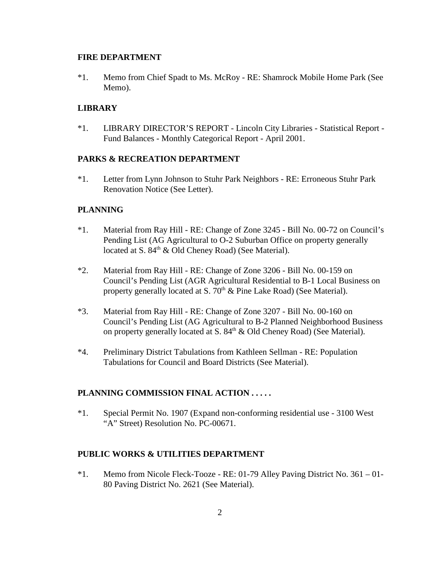#### **FIRE DEPARTMENT**

\*1. Memo from Chief Spadt to Ms. McRoy - RE: Shamrock Mobile Home Park (See Memo).

## **LIBRARY**

\*1. LIBRARY DIRECTOR'S REPORT - Lincoln City Libraries - Statistical Report - Fund Balances - Monthly Categorical Report - April 2001.

## **PARKS & RECREATION DEPARTMENT**

\*1. Letter from Lynn Johnson to Stuhr Park Neighbors - RE: Erroneous Stuhr Park Renovation Notice (See Letter).

## **PLANNING**

- \*1. Material from Ray Hill RE: Change of Zone 3245 Bill No. 00-72 on Council's Pending List (AG Agricultural to O-2 Suburban Office on property generally located at S. 84<sup>th</sup> & Old Cheney Road) (See Material).
- \*2. Material from Ray Hill RE: Change of Zone 3206 Bill No. 00-159 on Council's Pending List (AGR Agricultural Residential to B-1 Local Business on property generally located at S.  $70<sup>th</sup>$  & Pine Lake Road) (See Material).
- \*3. Material from Ray Hill RE: Change of Zone 3207 Bill No. 00-160 on Council's Pending List (AG Agricultural to B-2 Planned Neighborhood Business on property generally located at S.  $84<sup>th</sup>$  & Old Cheney Road) (See Material).
- \*4. Preliminary District Tabulations from Kathleen Sellman RE: Population Tabulations for Council and Board Districts (See Material).

# **PLANNING COMMISSION FINAL ACTION . . . . .**

\*1. Special Permit No. 1907 (Expand non-conforming residential use - 3100 West "A" Street) Resolution No. PC-00671.

### **PUBLIC WORKS & UTILITIES DEPARTMENT**

\*1. Memo from Nicole Fleck-Tooze - RE: 01-79 Alley Paving District No. 361 – 01- 80 Paving District No. 2621 (See Material).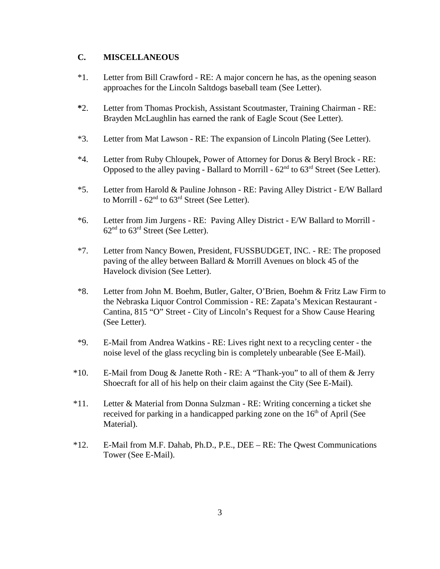## **C. MISCELLANEOUS**

- \*1. Letter from Bill Crawford RE: A major concern he has, as the opening season approaches for the Lincoln Saltdogs baseball team (See Letter).
- **\***2. Letter from Thomas Prockish, Assistant Scoutmaster, Training Chairman RE: Brayden McLaughlin has earned the rank of Eagle Scout (See Letter).
- \*3. Letter from Mat Lawson RE: The expansion of Lincoln Plating (See Letter).
- \*4. Letter from Ruby Chloupek, Power of Attorney for Dorus & Beryl Brock RE: Opposed to the alley paving - Ballard to Morrill -  $62<sup>nd</sup>$  to  $63<sup>rd</sup>$  Street (See Letter).
- \*5. Letter from Harold & Pauline Johnson RE: Paving Alley District E/W Ballard to Morrill -  $62<sup>nd</sup>$  to  $63<sup>rd</sup>$  Street (See Letter).
- \*6. Letter from Jim Jurgens RE: Paving Alley District E/W Ballard to Morrill  $62<sup>nd</sup>$  to  $63<sup>rd</sup>$  Street (See Letter).
- \*7. Letter from Nancy Bowen, President, FUSSBUDGET, INC. RE: The proposed paving of the alley between Ballard & Morrill Avenues on block 45 of the Havelock division (See Letter).
- \*8. Letter from John M. Boehm, Butler, Galter, O'Brien, Boehm & Fritz Law Firm to the Nebraska Liquor Control Commission - RE: Zapata's Mexican Restaurant - Cantina, 815 "O" Street - City of Lincoln's Request for a Show Cause Hearing (See Letter).
- \*9. E-Mail from Andrea Watkins RE: Lives right next to a recycling center the noise level of the glass recycling bin is completely unbearable (See E-Mail).
- \*10. E-Mail from Doug & Janette Roth RE: A "Thank-you" to all of them & Jerry Shoecraft for all of his help on their claim against the City (See E-Mail).
- \*11. Letter & Material from Donna Sulzman RE: Writing concerning a ticket she received for parking in a handicapped parking zone on the  $16<sup>th</sup>$  of April (See Material).
- \*12. E-Mail from M.F. Dahab, Ph.D., P.E., DEE RE: The Qwest Communications Tower (See E-Mail).